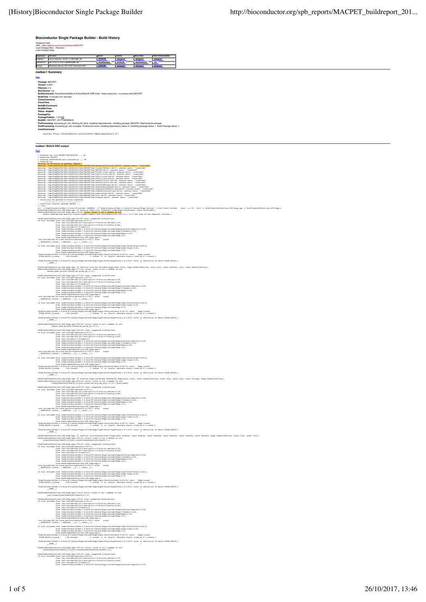**Bioconductor Single Package Builder - Build History**

| s.<br>oshot Date:<br>Shapshot Date:<br>URL: https://github.com/loannisVardaxis/MACPET<br>Last Changed Rev: / Revision:<br>Last Changed Date:                                                                                                                                                                                                                                                                                                                                                         |
|------------------------------------------------------------------------------------------------------------------------------------------------------------------------------------------------------------------------------------------------------------------------------------------------------------------------------------------------------------------------------------------------------------------------------------------------------------------------------------------------------|
| OS/Arch<br><b>BUILD</b><br>CHECK<br><b>BUILD BIN</b><br><b>POST-PROCESSING</b><br>nalbec1<br>Linux (Ubuntu 16.04.1 LTS)/x86_64<br>ERROR<br>skipped<br>skipped<br>skipped                                                                                                                                                                                                                                                                                                                             |
| eracruz1 0S X 10.11.6 El Capitan/x86_64<br><b>WARNINGS</b><br><b>ERROR</b><br><b>WARNINGS</b><br>OK<br>Windows Server 2012 R2 Standard/x64<br><b>ERROR</b><br>kay1<br>skipped<br>skipped<br>skipped                                                                                                                                                                                                                                                                                                  |
| malbec1 Summary                                                                                                                                                                                                                                                                                                                                                                                                                                                                                      |
| ftool<br>Package: MACPET                                                                                                                                                                                                                                                                                                                                                                                                                                                                             |
| Version: 0.99.0<br>RVersion: 3.4<br>BiocVersion: 3.6                                                                                                                                                                                                                                                                                                                                                                                                                                                 |
| BuildCommand: /home/biocbuild/bbs-3.6-bioc/R/bin/R CMD build --keep-empty-dirs --no-resave-data MACPET<br>BuildTime: 0 minutes 3.01 seconds                                                                                                                                                                                                                                                                                                                                                          |
| CheckCommand:<br>CheckTime:<br><b>BuildBinCommand</b>                                                                                                                                                                                                                                                                                                                                                                                                                                                |
| <b>BuildBinTime</b><br>Status: skipped                                                                                                                                                                                                                                                                                                                                                                                                                                                               |
| PackageFile<br>PackageFileSize: -1.00 KiB<br>BuildID:: MACPET 20171026080623                                                                                                                                                                                                                                                                                                                                                                                                                         |
| PreProcessing: Accessing git_info. Starting Git clone. Installing dependencies. Installing package: MACPET. Starting Build package<br>PostProcessing: Accessing git_info complete. Finished Git clone. Installing dependency status: 0. Installing package status: 1. Build Package status: 1.<br>InstallCommand:                                                                                                                                                                                    |
| source("http://bioconductor.org/scratch-repos/pkgInstall.R")                                                                                                                                                                                                                                                                                                                                                                                                                                         |
|                                                                                                                                                                                                                                                                                                                                                                                                                                                                                                      |
| malbec1 BUILD SRC output<br>[top]                                                                                                                                                                                                                                                                                                                                                                                                                                                                    |
| checking for file NACPET/DESCRIPTION  OK<br>preparing MACPET:<br>cking DESCRIPTION meta-information  OK                                                                                                                                                                                                                                                                                                                                                                                              |
| r peperion (MOTITOS) est information  Of<br>a construction (MOTITOS) est information  Of<br>MOTITOS (MOTITOS) est information (MOTITOS) est information (MOTITOS)<br>(MOTITOS) est information (MOTITOS) est information (MOT                                                                                                                                                                                                                                                                        |
|                                                                                                                                                                                                                                                                                                                                                                                                                                                                                                      |
|                                                                                                                                                                                                                                                                                                                                                                                                                                                                                                      |
|                                                                                                                                                                                                                                                                                                                                                                                                                                                                                                      |
|                                                                                                                                                                                                                                                                                                                                                                                                                                                                                                      |
| * installing the package to build vignettes<br>* installing *source* package NACPET<br>** libs                                                                                                                                                                                                                                                                                                                                                                                                       |
| gi "Jomenicatulidhe-J.t-Liech/klemia-communs -i'menelicatulidhe-J.t-liec/Nieray/Republication -ipic -q-d2 -Wall-c Peabliofersharection_977_Rep.op-o Peabliofersharection_977_Rep.op-o Peabliofersharection_977_Rep.op-o Peabli                                                                                                                                                                                                                                                                       |
| PaskTraderdabunctions, 207, Sept.<br>prig 1331.11, notas supported alternatives: $\label{eq:2} \begin{minipage}[t]{.0\textwidth} \begin{minipage}[t]{.0\textwidth} \begin{minipage}[t]{.0\textwidth} \begin{minipage}[t]{.0\textwidth} \begin{minipage}[t]{.0\textwidth} \begin{minipage}[t]{.0\textwidth} \begin{minipage}[t]{.0\textwidth} \begin{minipage}[t]{.0\textwidth} \begin{minipage}[t]{.0$                                                                                               |
|                                                                                                                                                                                                                                                                                                                                                                                                                                                                                                      |
|                                                                                                                                                                                                                                                                                                                                                                                                                                                                                                      |
|                                                                                                                                                                                                                                                                                                                                                                                                                                                                                                      |
| $\begin{minipage}[t]{0.9\textwidth} \begin{minipage}[t]{0.9\textwidth} \begin{minipage}[t]{0.9\textwidth} \begin{minipage}[t]{0.9\textwidth} \begin{minipage}[t]{0.9\textwidth} \begin{minipage}[t]{0.9\textwidth} \begin{minipage}[t]{0.9\textwidth} \begin{minipage}[t]{0.9\textwidth} \begin{minipage}[t]{0.9\textwidth} \begin{minipage}[t]{0.9\textwidth} \begin{minipage}[t]{0.9\textwidth} \begin{minipage}[t]{0.9\textwidth} \begin{minipage}[t]{0.9\textwidth} \begin{minipage}[t]{0.9$     |
|                                                                                                                                                                                                                                                                                                                                                                                                                                                                                                      |
| /home/biocbuild/bbs-3.6-bioc/R/library/Rcpp/include/Rcpp/sugar/block/SugarBlock_2.h:116:9: note: in definition of macro SUGAR_BLOCK_2<br>$x = 1$                                                                                                                                                                                                                                                                                                                                                     |
| PaakfinderSobhunctions_SOT_Repp.opp: In function void Get_PairoNet_Repp(const List&, Repp::NumericNetrix&, const in&, const double&, int&, const NumericVector&):<br>PaakfinderSobhunctions_GOT_Repp.opp:11771414 errors:roond is                                                                                                                                                                                                                                                                    |
|                                                                                                                                                                                                                                                                                                                                                                                                                                                                                                      |
|                                                                                                                                                                                                                                                                                                                                                                                                                                                                                                      |
| Paul<br>Traderick<br>Paul<br>Tradericke (* 1814)<br>1945 – Die Amerikaanse konstantinen (* 1814)<br>                                                                                                                                                                                                                                                                                                                                                                                                 |
|                                                                                                                                                                                                                                                                                                                                                                                                                                                                                                      |
| $\label{thm:main} \begin{minipage}[t]{0.9\textwidth} \begin{minipage}[t]{0.9\textwidth} \begin{minipage}[t]{0.9\textwidth} \begin{minipage}[t]{0.9\textwidth} \begin{minipage}[t]{0.9\textwidth} \begin{minipage}[t]{0.9\textwidth} \begin{minipage}[t]{0.9\textwidth} \begin{minipage}[t]{0.9\textwidth} \begin{minipage}[t]{0.9\textwidth} \begin{minipage}[t]{0.9\textwidth} \begin{minipage}[t]{0.9\textwidth} \begin{minipage}[t]{0.9\textwidth} \begin{minipage}[t]{0.9\textwidth} \begin{min$ |
| /home/biocbuild/bbs-3.6-bioc/R/library/Rcpp/include/Rcpp/sugar/block/SugarBlock_2.h:116:9: mote: in definition of macro SUGAR_BLOCK_2<br>32400                                                                                                                                                                                                                                                                                                                                                       |
| PeakFinderSubFunctions_SGT_Rcpp.cpp:1384:28: error: round is not a member of std double peak_gc=std::round( $(m, g$ c+sy_gc)/2.0);                                                                                                                                                                                                                                                                                                                                                                   |
| PeakTinderEchlThuckinst EUT REPO crops illustrational alternatives:<br>In file included from Jean Interior (and the included from the file included from $\frac{1}{2}$<br>If the included from $\frac{1}{2}$<br>If $\frac{1}{2}$<br>$\frac{1}{2}$<br>If                                                                                                                                                                                                                                              |
|                                                                                                                                                                                                                                                                                                                                                                                                                                                                                                      |
| reas Anamo Roschuid Albha-1-4-bioschuid Albha-1/20pp (anatom Albha-1-20pp) and tom Albha-1-20pp (anatom Albha)<br>from Albha-1-2-bioschuid Albha-1-4-bioschuid Albha-1-2-bioschuid Albha-1-2-bioschuid Albha-1-2-bioschuid Albha                                                                                                                                                                                                                                                                     |
|                                                                                                                                                                                                                                                                                                                                                                                                                                                                                                      |
| In file included from /home/holmohild/Aba-1.4-hier/21.ikmar/Reng/ies/holmoh/Reng/iespar/hlock/hlock.h:26:0,<br>files /holmohild/Aba-1.4-bioc/2/likrary/Reng/ies/holmoh/Reng/iespar.h:26,<br>from /home/hisobalid/Aba-1.4-bioc/2/lik                                                                                                                                                                                                                                                                  |
| em/biocbuild/bbs-3.6-bioc/R/library/Repp/include/Repp/sugar/functions/math.h:69:15: note:   Repp::round<br>IAR_BLOCK_2(round,     ::Rf_fround)           // rounds 'x' to 'digits' decimals digits (used by R's round())<br>SUGAR_BLOCK_2(round,<br>me/biocbuild/bbs-3.6-bioc/R/library/Rcpp/include/Rcpp/sugar/block/SugarBlock_2.h:116:9: note: in definition of macro SUGAR_BLOCK_2                                                                                                               |
| ×<br>PeakTinderSekhunctions_SGT_Borp.orgs: In function Rops:DataFrame GetPeakInf_Ropp(const Listi, const humericVectori, const inti, const inti, const stringi, Rops:HumericVectori):<br>PeakTinderSekhunctions_EGT_Ropp.opp31691311 e                                                                                                                                                                                                                                                               |
|                                                                                                                                                                                                                                                                                                                                                                                                                                                                                                      |
| $\label{thm:main} {\tt PreakFinderskbrunctions\_5GT\_Rep.cpp.1659:39: note: suggested a Hermitowski-In file included from \overline{fvar}/\text{includs}/\text{Sets}+161367:0,\begin{array}{ll} \text{from } \textit{fvar}/\text{includs}/\text{SE6-14} \text{inuc-squ/c++/5}/\text{bits/ox\_definen.h:39}, \\ \text{from } \textit{fvar}/\text{includs}/\text{NE}_2^{\text{incl}}-141 \text{inuc-squ/c++/5}/\text{bits/cv}+ \text{recoaffrom /usr/include/c++/5/cmath:41,$                          |
| from /home/biocbuild/bbs-3.6-bioc/R/library/Rcpp/include/Rcpp/platform/compiler.h:100,<br>from /home/biocbuild/bbz-3.6-bioc/R/library/Rcpp/include/Rcpp/r/headers.h:48,<br>from /home/biocbuild/bbz-3.6-bioc/R/library/Rcpp/include/RcppCommon.h:29,<br>from /home/biocbuild/bbs-3.6-bioc/R/library/Rcpp/include/Rcpp.h:27,                                                                                                                                                                          |
| /usr/include/sim/moleconductions_202_Repp.cpp:li<br>/usr/include/set-limx-qmu/bits/dis-1-limx-canary<br>_MATHCALLX (round,, (_Mdouble__x), (_const_));<br>_MATHCALLX (round,, (_Mdouble__x), (_const_));                                                                                                                                                                                                                                                                                             |
| In file included from /home/biocbuild/bbs-3.6-bioc/R/library/Rcpp/include/Rcpp/sugar/block/block.h:26:0,                                                                                                                                                                                                                                                                                                                                                                                             |
| in the decomposition of the control of the control (interpretentation of the control of the control of the control of the control of the control of the control of the control of the control of the control of the control of                                                                                                                                                                                                                                                                       |
| /home/biocbuild/bbs-3.6-bioc/R/library/Repp/include/Repp/sugar/block/SugarBlock_2.h:116:9: note: in definition of macro SUGAR_BLOCK_2<br>$x = 1$                                                                                                                                                                                                                                                                                                                                                     |
| PaakfinderSobTunctions SOT Repp.opp: In function void GetQuantilesCI Repejonant doubles, comat doubles, combinations, comat doubles, comat doubles, ReprimmericMatrixs, comat ints, comat ints, comat ints, comat ints, comat                                                                                                                                                                                                                                                                        |
| Packlainical<br>Packlainical SEC Repressibility (Martin superiod alternativear)<br>$\label{eq:2} \begin{split} \textbf{R}^2\textbf{R}^2 & = \textbf{R}^2\textbf{R}^2\textbf{R}^2\textbf{R}^2\textbf{R}^2\textbf{R}^2\textbf{R}^2\textbf{R}^2\textbf{R}^2\textbf{R}^2\textbf{R}^2\textbf{R}^2\textbf{R}^2\textbf{R}^2\$                                                                                                                                                                               |
|                                                                                                                                                                                                                                                                                                                                                                                                                                                                                                      |
| from /home/biocbuild/bbs-3.6-bioc/R/library/Rcpp/include/Rcpp.h:27,<br>from PeakFinderSubFunctions SGT Ropp.opp:1:<br>/usr/include/x86_64-linux-gmu/bits/mathcalls.h:319:1: mote: round<br>xATHCALLX (round,, (_Mdouble___x), (_const__));                                                                                                                                                                                                                                                           |
| In file included from /home/biocbuild/bbs-3.6-bioc/R/library/Rcpp/include/Rcpp/sugar/block/block.h:26:0,                                                                                                                                                                                                                                                                                                                                                                                             |
| from /home/biocbuild/bbs-3.6-bioc/%/library/Repp/isclude/Repp/sugar/sugar.h:26,<br>from /home/biocbuild/bbs-3.6-bioc/%/library/Repp/isclude/Repp/sugar.h:26,<br>from /home/biocbuild/bbs-3.6-bioc/%/library/Repp/isclude/Repp.h:72,<br><br>/home/biochuild/bbm-3.6-bioc/R/library/Repp/include/Repp/sugar/functions/math.ht69:15: note: Repp::round<br>SUGAR_BLOCK_2(round, ::Rf_fround) // rounds 'x' to 'digits' decimals digits (used by R's round())                                             |
| /home/biocbuild/bbs-3.6-bioc/R/library/Rcpp/include/Rcpp/sugar/block/SugarBlock_2.h:116:9: mote: in definition of macro SUGAR_BLOCK_2<br>$-$ sasz $-$ (                                                                                                                                                                                                                                                                                                                                              |
| PeakFinderSubFunctio<br>rSubFunctions_SGT_Ropp.cpp:1730:9: error: round is not a member of std<br>std::round(GlobalPeaksInfo(PeakID,6))+1;                                                                                                                                                                                                                                                                                                                                                           |
|                                                                                                                                                                                                                                                                                                                                                                                                                                                                                                      |
| piler.h:100.                                                                                                                                                                                                                                                                                                                                                                                                                                                                                         |
|                                                                                                                                                                                                                                                                                                                                                                                                                                                                                                      |
| In file included from /home/biocbuild/bbs-3.6-bioc/R/library/Rcpp/include/Rcpp/sugar/block/block.h:26:0,                                                                                                                                                                                                                                                                                                                                                                                             |
| from /home/biocbuild/bbz-3.6-bioc/R/library/Rcpp/include/Rcpp/sugar/sugar.h:26,<br>from /home/biocbuild/bbs-3.6-bioc/R/library/Rcpp/include/Rcpp.h:72,<br>from PeakTinderSubTunctions SCT_Rcpc.cpp:i:<br>/home/biocbuild/bbs-3.6-biocp/inter/Acept/intertions/mar/home-biochild/bbs-3.65115: note: Rcpp:rround<br>SUGAR_BLOCK_2[round, ::Rf_fround) // rounds 'x' to 'digits' decimals digits                                                                                                        |
| /home/biocbuild/bbs-3.6-bioc/R/library/Rcpp/include/Rcpp/augar/block/SugarBlock_2.h:116:9: note: in definition of macro SUGAR_BLOCK_2                                                                                                                                                                                                                                                                                                                                                                |
| $x = 1$<br>PeakFinderSubFunctions_SGT_Rcpp.cpp:1756:32: error: round is not a member of std<br>GlobalPeaksInfo(PeakID,11)=std::round(GlobalPeaksInfo(PeakID,10))                                                                                                                                                                                                                                                                                                                                     |
|                                                                                                                                                                                                                                                                                                                                                                                                                                                                                                      |
| PeakTinderGoldPunctions_SGCP_Repp.rpp:17561371 motes.responsed alternatives:<br>In file included from jummingly continued the inclusions of the state in file included from jummingly ( $\frac{1}{2}$ and $\frac{1}{2}$ files $\frac{1}{2}$ f                                                                                                                                                                                                                                                        |
|                                                                                                                                                                                                                                                                                                                                                                                                                                                                                                      |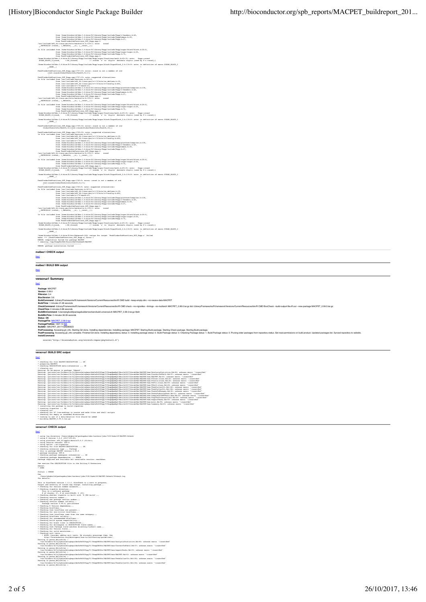| $\label{eq:3} \begin{minipage}[t]{0.5\textwidth} \begin{minipage}[t]{0.5\textwidth} \begin{itemize} {\bf free & home/hiciteful14(hk+1,4+1)(sk-1,4+1)\in\mathcal{N}(k+1)\in\mathcal{N}(k+1)\in\mathcal{N}(k+1)\in\mathcal{N}(k+1)\in\mathcal{N}(k+1)\in\mathcal{N}(k+1)\in\mathcal{N}(k+1)\in\mathcal{N}(k+1)\in\mathcal{N}(k+1)\in\mathcal{N}(k+1)\in\mathcal{N}(k+1)\in\mathcal{N}(k+1)\in\mathcal{N}(k+1)\in\mathcal$                                                                              |  |
|------------------------------------------------------------------------------------------------------------------------------------------------------------------------------------------------------------------------------------------------------------------------------------------------------------------------------------------------------------------------------------------------------------------------------------------------------------------------------------------------------|--|
|                                                                                                                                                                                                                                                                                                                                                                                                                                                                                                      |  |
|                                                                                                                                                                                                                                                                                                                                                                                                                                                                                                      |  |
|                                                                                                                                                                                                                                                                                                                                                                                                                                                                                                      |  |
| $\label{thm:main} \begin{minipage}[t]{0.9\textwidth} \begin{minipage}[t]{0.9\textwidth} \begin{minipage}[t]{0.9\textwidth} \begin{minipage}[t]{0.9\textwidth} \begin{minipage}[t]{0.9\textwidth} \begin{minipage}[t]{0.9\textwidth} \begin{minipage}[t]{0.9\textwidth} \begin{minipage}[t]{0.9\textwidth} \begin{minipage}[t]{0.9\textwidth} \begin{minipage}[t]{0.9\textwidth} \begin{minipage}[t]{0.9\textwidth} \begin{minipage}[t]{0.9\textwidth} \begin{minipage}[t]{0.9\textwidth} \begin{min$ |  |
|                                                                                                                                                                                                                                                                                                                                                                                                                                                                                                      |  |
| /home/biocbuild/bbs-3.6-bioc/R/library/Rcpp/include/Rcpp/sugar/block/SugarBlock_2.h:116:9: mote: in definition of macro SUGAR_BLOCK_2<br>2000                                                                                                                                                                                                                                                                                                                                                        |  |
| PeakFinderSubFunctions_SGT_Rcpp.cpp:1757:10: error: round is not a member of std -std::round(GlobalPeaksInfo(PeakID,9))+1;                                                                                                                                                                                                                                                                                                                                                                           |  |
| PeakFinderSubFunctions_SGT_Rcpp.cpp:1757:10: note: suggested alternatives:<br>In file included from /usr/include/features.h:367:0,                                                                                                                                                                                                                                                                                                                                                                   |  |
|                                                                                                                                                                                                                                                                                                                                                                                                                                                                                                      |  |
|                                                                                                                                                                                                                                                                                                                                                                                                                                                                                                      |  |
|                                                                                                                                                                                                                                                                                                                                                                                                                                                                                                      |  |
|                                                                                                                                                                                                                                                                                                                                                                                                                                                                                                      |  |
|                                                                                                                                                                                                                                                                                                                                                                                                                                                                                                      |  |
| $\label{thm:main} \begin{minipage}[t]{0.9\textwidth} \begin{minipage}[t]{0.9\textwidth} \begin{minipage}[t]{0.9\textwidth} \begin{minipage}[t]{0.9\textwidth} \begin{minipage}[t]{0.9\textwidth} \begin{minipage}[t]{0.9\textwidth} \begin{minipage}[t]{0.9\textwidth} \begin{minipage}[t]{0.9\textwidth} \begin{minipage}[t]{0.9\textwidth} \begin{minipage}[t]{0.9\textwidth} \begin{minipage}[t]{0.9\textwidth} \begin{minipage}[t]{0.9\textwidth} \begin{minipage}[t]{0.9\textwidth} \begin{min$ |  |
|                                                                                                                                                                                                                                                                                                                                                                                                                                                                                                      |  |
|                                                                                                                                                                                                                                                                                                                                                                                                                                                                                                      |  |
| /home/biocbuild/bbs-3.6-bioc/R/library/Rcpp/include/Rcpp/sugar/block/SugarBlock_2.h:116:9: mote: in definition of macro SUGAR_BLOCK_2<br>$-$ same_(                                                                                                                                                                                                                                                                                                                                                  |  |
| PeakFinderSubFunctions_SGT_Rcpp.cpp:1759:32: error: round is not a member of std GlobalPeaksInfo(PeakID,12)=std::round(GlobalPeaksInfo(PeakID,10))-                                                                                                                                                                                                                                                                                                                                                  |  |
|                                                                                                                                                                                                                                                                                                                                                                                                                                                                                                      |  |
| PeakFinderSubFunctions_SGT_Rcpp.cpp:1759:32: note: suggested alternatives:<br>In file included from <i>Tuar/include/features.h:367:0, defines.h:39,</i><br>from /uar/include/x86_64-linux-gnu/c++/5/bits/ox_defines.h:39,<br>from /uar/inclu                                                                                                                                                                                                                                                         |  |
| from /usr/include/c++/5/cmath:41,<br>from /home/biocbuild/bbs-3.6-bioc/R/library/Rcpp/include/Rcpp/platform/compiler.h:100,                                                                                                                                                                                                                                                                                                                                                                          |  |
| from /home/hiorbuild/bbs-3.6-bior/R/library/Repp/include/Repp/r/headers.h:48,<br>from /home/hiorbuild/bbs-3.6-bior/R/library/Repp/include/Repp/r/headers.h:48,<br>from /home/hiorbuild/bbs-3.6-bior/R/library/Repp/include/Repp.h:27                                                                                                                                                                                                                                                                 |  |
|                                                                                                                                                                                                                                                                                                                                                                                                                                                                                                      |  |
| /usr/include/xf6_from PeakTinderSubFunctions SGT Repp.orgs:1:<br>/usr/include/xf6_64-linux-gen/bits/ymsthcalls.ht:35:1: note: round<br>_MATHCALLX (round,, (_Mdouble__x), (_const_));                                                                                                                                                                                                                                                                                                                |  |
| In file included from /home/biocbuild/bbs-3.6-bioc/R/library/Rcpp/include/Rcpp/sugar/block/block.h:26:0,                                                                                                                                                                                                                                                                                                                                                                                             |  |
| $\begin{minipage}[t]{.5em} \begin{tabular}{l cccccc } \hline \textbf{a} & \textbf{a} & \textbf{a} & \textbf{a} & \textbf{a} & \textbf{a} & \textbf{a} & \textbf{a} & \textbf{a} & \textbf{a} & \textbf{a} & \textbf{a} & \textbf{a} & \textbf{a} & \textbf{a} & \textbf{a} & \textbf{a} & \textbf{a} & \textbf{a} & \textbf{a} & \textbf{a} & \textbf{a} & \textbf{a} & \textbf{a} & \textbf{a} & \textbf{a} & \textbf{a} & \textbf$                                                                 |  |
|                                                                                                                                                                                                                                                                                                                                                                                                                                                                                                      |  |
| /home/biochuild/bbs-3.6-bioc/R/library/Rcpp/include/Rcpp/sugar/block/SugarBlock_2.h:116:9: note: in definition of macro SUGAR_BLOCK_Z<br>$-$ sam $-$ (                                                                                                                                                                                                                                                                                                                                               |  |
| PeakFinderSubFunctions_SGT_Rcpp.cpp:1760:5: error: round is not a member of std .<br>std::round(GlobalPeaksInfo(PeakID,6))+1;                                                                                                                                                                                                                                                                                                                                                                        |  |
|                                                                                                                                                                                                                                                                                                                                                                                                                                                                                                      |  |
| $\label{eq:2} \begin{minipage}[t]{. \begin{minipage}[t]{.7\textwidth}\begin{itemize} \color{black} \textbf{0} & \textbf{0} & \textbf{0} & \textbf{0} & \textbf{0} & \textbf{0} & \textbf{0} & \textbf{0} & \textbf{0} & \textbf{0} & \textbf{0} & \textbf{0} & \textbf{0} & \textbf{0} & \textbf{0} & \textbf{0} & \textbf{0} & \textbf{0} & \textbf{0} & \textbf{0} & \textbf{0} & \textbf{0} & \textbf{0} & \textbf{0} & \textbf{0} & \textbf$                                                     |  |
|                                                                                                                                                                                                                                                                                                                                                                                                                                                                                                      |  |
|                                                                                                                                                                                                                                                                                                                                                                                                                                                                                                      |  |
|                                                                                                                                                                                                                                                                                                                                                                                                                                                                                                      |  |
| from PeakFinderSubFunctions SGT Ropp.opp:1:<br>/usr/include/xH6_64-linux-gmu/bits/mathcalls.h:319:1: mote: round<br>MXTHCALLX (round,, (_Mdouble_ _x), (_const_));                                                                                                                                                                                                                                                                                                                                   |  |
| In file included from /home/biocbuild/bbs-3.6-bioc/R/library/Rcpp/include/Rcpp/sugar/block/block.h:26:0,                                                                                                                                                                                                                                                                                                                                                                                             |  |
| In file such<br>season from $\frac{\text{Nmm/likelihood}}{\text{Nmm/likelihood}} = 1.4 \times 1000 \times 10^{-10} \times 10^{-10} \times 10^{-10} \times 10^{-10} \times 10^{-10} \times 10^{-10} \times 10^{-10} \times 10^{-10} \times 10^{-10} \times 10^{-10} \times 10^{-10} \times 10^{-10} \times 10^{-10} \times 10^{-10} \times 10^{-10} \times 10^{-10} \times 10^{-10} \times 10^{-10} \times $                                                                                          |  |
|                                                                                                                                                                                                                                                                                                                                                                                                                                                                                                      |  |
| /home/biocbuild/bbs-3.6-bioc/R/library/Repp/include/Repp/sugar/block/SugarBlock 2.h:116:9: mote: in definition of macro SUGAR BLOCK 2<br>$x$ AME $($                                                                                                                                                                                                                                                                                                                                                 |  |
|                                                                                                                                                                                                                                                                                                                                                                                                                                                                                                      |  |
| /home/biotubil/bhe-1.6-bioc/2/efec/Rebecontists: recipe for target 'PeakFinderSubFunctions_EGT_Ecpp.o' failed<br>make: *** [PeakFinderSubFunctions_EGT_Ecpp.o] Error :<br>*semoving /tmp/RtmpRAiPAR (RinetSubStcoies)/WACPET<br>* remov                                                                                                                                                                                                                                                              |  |
| ERROR: package installation failed                                                                                                                                                                                                                                                                                                                                                                                                                                                                   |  |
| malbec1 CHECK output                                                                                                                                                                                                                                                                                                                                                                                                                                                                                 |  |
| [top]                                                                                                                                                                                                                                                                                                                                                                                                                                                                                                |  |
|                                                                                                                                                                                                                                                                                                                                                                                                                                                                                                      |  |
| malbec1 BUILD BIN output                                                                                                                                                                                                                                                                                                                                                                                                                                                                             |  |
|                                                                                                                                                                                                                                                                                                                                                                                                                                                                                                      |  |
| [top]                                                                                                                                                                                                                                                                                                                                                                                                                                                                                                |  |
|                                                                                                                                                                                                                                                                                                                                                                                                                                                                                                      |  |
| veracruz1 Summary                                                                                                                                                                                                                                                                                                                                                                                                                                                                                    |  |
| [top]                                                                                                                                                                                                                                                                                                                                                                                                                                                                                                |  |
| Package: MACPET                                                                                                                                                                                                                                                                                                                                                                                                                                                                                      |  |
| Version: 0.99.0<br>RVersion: 3.4                                                                                                                                                                                                                                                                                                                                                                                                                                                                     |  |
| BiocVersion: 3.6<br>BuildCommand: /Library/Frameworks/R.framework/Versions/Current/Resources/bin/R CMD build --keep-empty-dirs --no-resave-data MACPET                                                                                                                                                                                                                                                                                                                                               |  |
| BuildTime: 1 minutes 21.26 seconds                                                                                                                                                                                                                                                                                                                                                                                                                                                                   |  |
| CheckCommand: /Library/Frameworks/R.framework/Versions/Current/Resources/bin/R CMD check --no-vignettes --itmings --no-multiarch MACPET_0.99.0.tar.gz && /Library/Frameworks/R.framework/Versions/Current/Resources/bin/R CMD<br>CheckTime: 0 minutes 3.86 seconds                                                                                                                                                                                                                                   |  |
| BuildBinCommand: /Users/pkgbuild/packagebuilder/workers/build-universal.sh MACPET_0.99.0.tar.gz libdir<br>BuildBinTime: 0 minutes 36.09 seconds                                                                                                                                                                                                                                                                                                                                                      |  |
| Status: OK                                                                                                                                                                                                                                                                                                                                                                                                                                                                                           |  |
| PackageFile: MACPET_0.99.0.tgz<br>PackageFileSize: 1637.13 KiB                                                                                                                                                                                                                                                                                                                                                                                                                                       |  |
| BuildID:: MACPET_20171026080623<br>PreProcessing: Accessing git_info. Starting Git clone. Installing dependencies. Installing package: MACPET. Starting Build package. Starting Check package. Starting Build package.                                                                                                                                                                                                                                                                               |  |
| PostProcessing: Accessing git_info complete. Finished Git clone. Installing dependency status: 0. Buitelling package status: 0. Build Package status: 0. Build Package status: 0. Build Package status: 1. Build Package statu<br>InstallCommand                                                                                                                                                                                                                                                     |  |
| source("http://bioconductor.org/scratch-repos/pkgInstall.R")                                                                                                                                                                                                                                                                                                                                                                                                                                         |  |
|                                                                                                                                                                                                                                                                                                                                                                                                                                                                                                      |  |
|                                                                                                                                                                                                                                                                                                                                                                                                                                                                                                      |  |
| veracruz1 BUILD SRC output                                                                                                                                                                                                                                                                                                                                                                                                                                                                           |  |
| [top]                                                                                                                                                                                                                                                                                                                                                                                                                                                                                                |  |
| checking for file NACPET/DESCRIPTION  OK<br>preparing NACPET:<br>preparing MACPET:<br>checking DESCRIPTION meta-information  OK                                                                                                                                                                                                                                                                                                                                                                      |  |
| cleaning ard                                                                                                                                                                                                                                                                                                                                                                                                                                                                                         |  |
|                                                                                                                                                                                                                                                                                                                                                                                                                                                                                                      |  |
|                                                                                                                                                                                                                                                                                                                                                                                                                                                                                                      |  |
|                                                                                                                                                                                                                                                                                                                                                                                                                                                                                                      |  |
|                                                                                                                                                                                                                                                                                                                                                                                                                                                                                                      |  |
|                                                                                                                                                                                                                                                                                                                                                                                                                                                                                                      |  |
|                                                                                                                                                                                                                                                                                                                                                                                                                                                                                                      |  |
| $\begin{minipage}[t]{. \begin{minipage}[t]{0.99\textwidth} \begin{minipage}[t]{0.99\textwidth} \begin{minipage}[t]{0.99\textwidth} \begin{minipage}[t]{0.99\textwidth} \begin{minipage}[t]{0.99\textwidth} \begin{minipage}[t]{0.99\textwidth} \begin{minipage}[t]{0.99\textwidth} \begin{minipage}[t]{0.99\textwidth} \begin{minipage}[t]{0.99\textwidth} \begin{minipage}[t]{0.99\textwidth} \begin{minipage}[t]{0.99\textwidth} \begin{minipage}[t]{0.99\textwidth} \begin{minipage$              |  |
| inatalling the package to build vignettes<br>creating vignettes  OK<br>cleaning ard                                                                                                                                                                                                                                                                                                                                                                                                                  |  |
|                                                                                                                                                                                                                                                                                                                                                                                                                                                                                                      |  |
| * cleaning Arc<br>* checking for LF line-endings in source and make files and shell scripts<br>* checking for empty or unneeded directories<br>* looking to see if a data/datalist file should be added<br>* building MACFET_0.99.0.tar.gr                                                                                                                                                                                                                                                           |  |
| veracruz1 CHECK output                                                                                                                                                                                                                                                                                                                                                                                                                                                                               |  |
| [top]                                                                                                                                                                                                                                                                                                                                                                                                                                                                                                |  |
| * using log directory /Users/pkgbuild/packagebuilder/workers/jobs/538/feda129/NACPET.Rcheck<br>using R version 3.4.2 (2017-09-28)                                                                                                                                                                                                                                                                                                                                                                    |  |
|                                                                                                                                                                                                                                                                                                                                                                                                                                                                                                      |  |
|                                                                                                                                                                                                                                                                                                                                                                                                                                                                                                      |  |
|                                                                                                                                                                                                                                                                                                                                                                                                                                                                                                      |  |
|                                                                                                                                                                                                                                                                                                                                                                                                                                                                                                      |  |
| $\bullet$ unig $\frac{1}{2}$<br>eration aird $\left\{ \begin{array}{ll} \left( 21 \right)^{1.5} \left( 21 \right)^{1.5} \left( 21 \right)^{1.5} \left( 21 \right)^{1.5} \left( 21 \right)^{1.5} \left( 21 \right)^{1.5} \left( 21 \right)^{1.5} \left( 21 \right)^{1.5} \left( 21 \right)^{1.5} \left( 21 \right)^{1.5} \left( 21 \right)^{1.5} \left( 21 \right)^{1.5} \left( 21$<br>See section The DESCRIPTION file in the Writing R Extension:                                                   |  |
| - DONE                                                                                                                                                                                                                                                                                                                                                                                                                                                                                               |  |
| Status: 1 ERROR                                                                                                                                                                                                                                                                                                                                                                                                                                                                                      |  |
| /Users/pkgbuild/packagebuilder/workers/jobs/538/feda129/MACPET.Rcheck/ODcheck.log<br>for details.                                                                                                                                                                                                                                                                                                                                                                                                    |  |
| This is BiocCheck version 1.13.2. BiocCheck is a work in progress.<br>Output                                                                                                                                                                                                                                                                                                                                                                                                                         |  |
| utput and severity of issues may change. Installing package<br>Checking for version number mismatch<br>Checking vignette directory                                                                                                                                                                                                                                                                                                                                                                   |  |
| This is a software package<br>$\neq$ of chunks: 27, $\neq$ of eval-FALSE: 0 (04)<br>Checking whether vignette is built with 'R CMD build'<br>Checking version number<br>Checking new package versi                                                                                                                                                                                                                                                                                                   |  |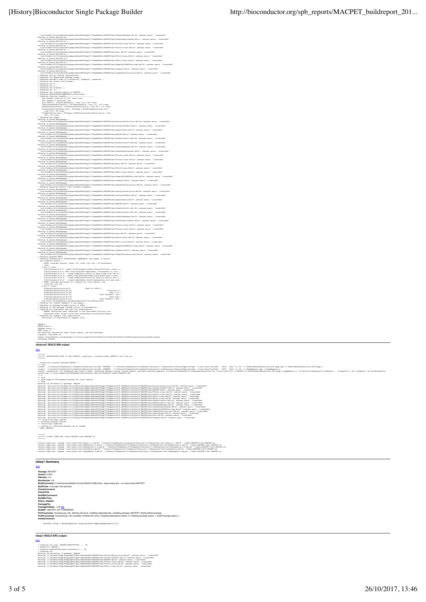| $\label{thm:main} \begin{minipage}[t]{0.00\textwidth}\begin{minipage}[t]{0.00\textwidth}\begin{minipage}[t]{0.00\textwidth}\begin{minipage}[t]{0.00\textwidth}\begin{minipage}[t]{0.00\textwidth}\begin{minipage}[t]{0.00\textwidth}\begin{minipage}[t]{0.00\textwidth}\begin{minipage}[t]{0.00\textwidth}\begin{minipage}[t]{0.00\textwidth}\begin{minipage}[t]{0.00\textwidth}\begin{minipage}[t]{0.00\textwidth}\begin{minipage}[t]{0.00\textwidth}\begin{minipage}[t]{0.00\textwidth}\begin{min$ |  |
|------------------------------------------------------------------------------------------------------------------------------------------------------------------------------------------------------------------------------------------------------------------------------------------------------------------------------------------------------------------------------------------------------------------------------------------------------------------------------------------------------|--|
|                                                                                                                                                                                                                                                                                                                                                                                                                                                                                                      |  |
|                                                                                                                                                                                                                                                                                                                                                                                                                                                                                                      |  |
|                                                                                                                                                                                                                                                                                                                                                                                                                                                                                                      |  |
|                                                                                                                                                                                                                                                                                                                                                                                                                                                                                                      |  |
| /vaficuostarytypyjuumaanusymayaamiininensymaaniisesta.<br>Narning in parem Rdiinfile) :<br>/var/folders/4v/hj3ybtmn2mlcgbmyz3dx0ah0000gq/7//RtepDH66bc/RACPET/man/PSFit-class.Rdi39: unknown macro '\ineertRef'<br>/waf/folders/vin/pjytemmanicycmyzaxxwanovovoy/ri/mampanvonimanicularialisticalisticalisticalisticalisticalistic<br>Narning in parem Rdiimfile)<br>/var/folders/v/hjJybtmalmicgkmyz3dx0dBb000gq/7//RtepDN66bc/RACFET/man/SampleChIAPE                                              |  |
|                                                                                                                                                                                                                                                                                                                                                                                                                                                                                                      |  |
| //www.ousume.winipg.my.maxwamuouvygy.r/nampanuus.podesi/mmaxwamuousume.maxwamuousume.html<br>//war/folders/4vhjiyotmahalogumys2dx2xdb0000gg/7/2tmpDH66bc/20CPET/man/summary.Bdi65i unknown macro '\insertRef<br>//war/folders/4vhjiy<br>/var/folders/4v/hj3ybtmm2mlcqkmyx3dx0x0h0000gq/T//RtmpDN66hc/NACPET/man/TaqsToGInteractions.Rd:46: umknown macro '\insertRef                                                                                                                                 |  |
| Checking native routine registration<br>Checking for deprecated package usage                                                                                                                                                                                                                                                                                                                                                                                                                        |  |
| Checking parsed R code in R directory, examples, vignettes<br>Checking for direct slot access                                                                                                                                                                                                                                                                                                                                                                                                        |  |
| Checking for T<br>Checking for F                                                                                                                                                                                                                                                                                                                                                                                                                                                                     |  |
| Checking for browser()<br>Checking for <<-<br>Checking for library/require of MACPET<br>Checking DESCRIPTION/MAMESPACE consistency                                                                                                                                                                                                                                                                                                                                                                   |  |
|                                                                                                                                                                                                                                                                                                                                                                                                                                                                                                      |  |
| Checking function lengths<br>The longest function is 209 lines long                                                                                                                                                                                                                                                                                                                                                                                                                                  |  |
|                                                                                                                                                                                                                                                                                                                                                                                                                                                                                                      |  |
|                                                                                                                                                                                                                                                                                                                                                                                                                                                                                                      |  |
|                                                                                                                                                                                                                                                                                                                                                                                                                                                                                                      |  |
| The logarithmical and 201 lines (2013)<br>$\frac{1}{2}$ and logarithmical and 2011-2021 lines (2013)<br>$\frac{1}{2}$ and $\frac{1}{2}$ and $\frac{1}{2}$ and $\frac{1}{2}$ and $\frac{1}{2}$ and $\frac{1}{2}$<br>$\frac{1}{2}$ and $\frac{1}{2}$ and $\frac{1}{2}$ and $\frac{1$                                                                                                                                                                                                                   |  |
|                                                                                                                                                                                                                                                                                                                                                                                                                                                                                                      |  |
|                                                                                                                                                                                                                                                                                                                                                                                                                                                                                                      |  |
| www.miss.margain.com/interference/interference/interference/interference/interference/interference/interference/<br>Warning in paramy Distribution (1991) - (1991) - (1991) - (1991) - (1991) - (1991) - (1991) - (1991) - (1991)                                                                                                                                                                                                                                                                    |  |
|                                                                                                                                                                                                                                                                                                                                                                                                                                                                                                      |  |
| Warning in parse Rd(manpage) :<br>/var/folders/4v/hj3ybtnn2mlcgkmyx3dx0x8h0000gq/T//RtmpDN66hc/NACPET/man/PeakCallerUlt.Rd:184: unknown macro '\insertRef'                                                                                                                                                                                                                                                                                                                                           |  |
| Warning in parse Rd(manpage) :<br>/var/folders/4v/hj3ybtnn2mlcgkmyx3dx0x8h0000gq/T//RtmpDN66hc/NACPET/man/PeaksToGRanges.Rd:52: unknown macro '\insertRef'<br>Warning in parse Rd(manpage) :                                                                                                                                                                                                                                                                                                         |  |
| Warning in param Edimanpse) :<br>//ver/folders/4v/hj3ybtnsZalogbmyr3dx0z8h0000gq/7//RimpDH66bc/NACPET/man/PeaksToNarcouPeak.Rd:61: unknown marro '\insertRef'<br>Warning in param_Rdjmanpse) :<br>/ver/folders/4v/hj3ybtnsZalogbmyr3dx0                                                                                                                                                                                                                                                              |  |
|                                                                                                                                                                                                                                                                                                                                                                                                                                                                                                      |  |
| Warning in parse Rd(manpage)<br>/var/folders/4v/hjJybtmmlmlcgkmyz3dx0s8h0000gq/T//RtmpDH66hc/MACPET/man/PIntra-class.Rd:20: unknown macro '\insertRef'<br>Warning in parse_Rd(manpage) :<br>/var/folders/4v/hj3ybtmn2mlcgkmyx3dx0x0h0000gq/T//RtmpDH66hc/MACPET/man/plot.Rd:95: unknown macro '\insertRef'                                                                                                                                                                                           |  |
|                                                                                                                                                                                                                                                                                                                                                                                                                                                                                                      |  |
|                                                                                                                                                                                                                                                                                                                                                                                                                                                                                                      |  |
|                                                                                                                                                                                                                                                                                                                                                                                                                                                                                                      |  |
|                                                                                                                                                                                                                                                                                                                                                                                                                                                                                                      |  |
|                                                                                                                                                                                                                                                                                                                                                                                                                                                                                                      |  |
| $\label{thm:main} \begin{minipage}[t]{0.99\textwidth}\begin{minipage}[t]{0.99\textwidth}\begin{minipage}[t]{0.99\textwidth}\begin{minipage}[t]{0.99\textwidth}\begin{minipage}[t]{0.99\textwidth}\begin{minipage}[t]{0.99\textwidth}\begin{minipage}[t]{0.99\textwidth}\begin{minipage}[t]{0.99\textwidth}\begin{minipage}[t]{0.99\textwidth}\begin{minipage}[t]{0.99\textwidth}\begin{minipage}[t]{0.99\textwidth}\begin{minipage}[t]{0.99\textwidth}\begin{minipage}[t]{0.99\textwidth}\begin{min$ |  |
| www.fisionesive.html?phenabelograpy.abschlot000p/7/ZeapEdiche/RACTFinae/Amiguations.abschlossencero-"inserted<br>"/www.fisions/with the state of the state of the state of the state of the state of the state of the state of<br>"i                                                                                                                                                                                                                                                                 |  |
|                                                                                                                                                                                                                                                                                                                                                                                                                                                                                                      |  |
| /var/folders/4v/hi3vbtna2mlcokmyz3dx0x8h0000og/7//RtmpDN66bc/NACPET/man/NACPET.Rd:63; unknown macro '\insertRef                                                                                                                                                                                                                                                                                                                                                                                      |  |
| Warning in parse Rd(manpage) :<br>/var/folders/4v/hj3ybtnn2mlcgkmyx3dx0x8h0000gq/T//RtmpDN66hc/NACPET/man/PeakCallerUlt.Rd:182: unknown macro '\insertRef'<br>Warning in parze Rd(manpage) :                                                                                                                                                                                                                                                                                                         |  |
| assary as passe_naturangey .<br>/var/folders/4v/hilvbtnn2mlcokmvx3dx0x8h0000og/T//RtmnDB66hc/NACPET/man/PeakCallerUlt.Rd:1B4: unknown macro '\inzertRef'<br>Warning in parse Rd(manpage) :                                                                                                                                                                                                                                                                                                           |  |
| Warning in param Balmangage :<br>//war/folders/4v/hj3ybtm2mlcgbmys2dx0zhb0000gq/7//RtmpCN66bc/NOGTET/man/PeaksToGRanges.Rd:52: unknown macro '\insertRef'<br>Warning in param Balmangage :<br>//war/folders/4v/hj3ybtm2mlcgbmys2dx0zhb0                                                                                                                                                                                                                                                              |  |
| Warning in parse_Rd(manpage) :<br>/var/folders/4v/hj3ybtnn2mlcgkmyz3dx0x8h0000gq/T//RtmpDH66hc/MACPET/man/PInter-class.Rd:20: unknown macro '\insertRef'                                                                                                                                                                                                                                                                                                                                             |  |
| Warning in parse_Rd(manpage) :<br>/var/folders/4v/hj3ybtnn2mlcgkmyz3dx0x8h0000gq/T//RtmpDN66hc/MACPET/man/PIntra-class.Rd:20: unknown macro '\insertRef'                                                                                                                                                                                                                                                                                                                                             |  |
| $\label{eq:2} \begin{minipage}[t]{0.99\textwidth}\begin{minipage}[t]{0.99\textwidth}\begin{minipage}[t]{0.99\textwidth}\begin{minipage}[t]{0.99\textwidth}\begin{minipage}[t]{0.99\textwidth}\begin{minipage}[t]{0.99\textwidth}\begin{minipage}[t]{0.99\textwidth}\begin{minipage}[t]{0.99\textwidth}\begin{minipage}[t]{0.99\textwidth}\begin{minipage}[t]{0.99\textwidth}\begin{minipage}[t]{0.99\textwidth}\begin{minipage}[t]{0.99\textwidth}\begin{minipage}[t]{0.99\textwidth}\begin{minip$   |  |
|                                                                                                                                                                                                                                                                                                                                                                                                                                                                                                      |  |
|                                                                                                                                                                                                                                                                                                                                                                                                                                                                                                      |  |
|                                                                                                                                                                                                                                                                                                                                                                                                                                                                                                      |  |
|                                                                                                                                                                                                                                                                                                                                                                                                                                                                                                      |  |
|                                                                                                                                                                                                                                                                                                                                                                                                                                                                                                      |  |
| and vignette source<br>* NOTE: Consider shorter lines; 263 lines (5%) are > 80 characters                                                                                                                                                                                                                                                                                                                                                                                                            |  |
| * BERI: Consider shorter limes; 201 lines (9.9) are > 50 characters;<br>First, 6 lines: an $F$ 'Provid (1124) External infinity (Figure Limes), characters<br>$D$ , Figure 3.19 $F$ 'Provid (1124) External infinity (Figure 21, 201                                                                                                                                                                                                                                                                 |  |
|                                                                                                                                                                                                                                                                                                                                                                                                                                                                                                      |  |
|                                                                                                                                                                                                                                                                                                                                                                                                                                                                                                      |  |
|                                                                                                                                                                                                                                                                                                                                                                                                                                                                                                      |  |
| NOTE: Consider multiples of 4 spaces for line indents, 304                                                                                                                                                                                                                                                                                                                                                                                                                                           |  |
| lines(6%) are not.<br>First 6 lines:<br>R/AnalysisStatistics.R:93<br>PSelf or PSFit")                                                                                                                                                                                                                                                                                                                                                                                                                |  |
| $count = as.n$                                                                                                                                                                                                                                                                                                                                                                                                                                                                                       |  |
|                                                                                                                                                                                                                                                                                                                                                                                                                                                                                                      |  |
|                                                                                                                                                                                                                                                                                                                                                                                                                                                                                                      |  |
|                                                                                                                                                                                                                                                                                                                                                                                                                                                                                                      |  |
|                                                                                                                                                                                                                                                                                                                                                                                                                                                                                                      |  |
|                                                                                                                                                                                                                                                                                                                                                                                                                                                                                                      |  |
|                                                                                                                                                                                                                                                                                                                                                                                                                                                                                                      |  |
|                                                                                                                                                                                                                                                                                                                                                                                                                                                                                                      |  |
|                                                                                                                                                                                                                                                                                                                                                                                                                                                                                                      |  |
|                                                                                                                                                                                                                                                                                                                                                                                                                                                                                                      |  |
| Summary:<br>ERROR count: 1<br>WARNING count: 0<br>NOTE count: 3<br>For detailed information about these checks, see the BiocCheck<br>rignette, available at                                                                                                                                                                                                                                                                                                                                          |  |
| https://bio<br>BiocCheck FAILED.                                                                                                                                                                                                                                                                                                                                                                                                                                                                     |  |
|                                                                                                                                                                                                                                                                                                                                                                                                                                                                                                      |  |
| veracruz1 BUILD BIN output                                                                                                                                                                                                                                                                                                                                                                                                                                                                           |  |
|                                                                                                                                                                                                                                                                                                                                                                                                                                                                                                      |  |
| >>>>> INSTALLATION WITH 'R CMD INSTALL --preclean --library=libdir MACPHT_0.99.0.tar.gz'<br><b>WANTED</b>                                                                                                                                                                                                                                                                                                                                                                                            |  |
|                                                                                                                                                                                                                                                                                                                                                                                                                                                                                                      |  |
| installing *source* package MACPET<br>$\cdots$ libe                                                                                                                                                                                                                                                                                                                                                                                                                                                  |  |
|                                                                                                                                                                                                                                                                                                                                                                                                                                                                                                      |  |
| installing to /Users/pkgbuild/packagebuilder/workers/jobs/538/feda129/libdir/MACPET/libs                                                                                                                                                                                                                                                                                                                                                                                                             |  |
| ** inst                                                                                                                                                                                                                                                                                                                                                                                                                                                                                              |  |
| ** byte-compile and prepare package for laxy loading ** help                                                                                                                                                                                                                                                                                                                                                                                                                                         |  |
|                                                                                                                                                                                                                                                                                                                                                                                                                                                                                                      |  |
| Narie; Državane in pedago "Adeck".<br>Narie: /privat/var/folden/v/hjpbtadalophysladahosoop/7/htmpsirv7/h.INShALI1aJO4a76/AGCRY/man/balysistatistics.Mid4 unknow mero "LimertRef"<br>Narie: /privat/var/folden/v/hjpbtadalophysladaho                                                                                                                                                                                                                                                                 |  |
|                                                                                                                                                                                                                                                                                                                                                                                                                                                                                                      |  |
|                                                                                                                                                                                                                                                                                                                                                                                                                                                                                                      |  |
|                                                                                                                                                                                                                                                                                                                                                                                                                                                                                                      |  |
|                                                                                                                                                                                                                                                                                                                                                                                                                                                                                                      |  |
|                                                                                                                                                                                                                                                                                                                                                                                                                                                                                                      |  |
|                                                                                                                                                                                                                                                                                                                                                                                                                                                                                                      |  |
|                                                                                                                                                                                                                                                                                                                                                                                                                                                                                                      |  |
| $\begin{minipage}[t]{0.99\textwidth}\begin{minipage}[t]{0.99\textwidth}\begin{minipage}[t]{0.99\textwidth}\begin{minipage}[t]{0.99\textwidth}\begin{minipage}[t]{0.99\textwidth}\begin{minipage}[t]{0.99\textwidth}\begin{minipage}[t]{0.99\textwidth}\begin{minipage}[t]{0.99\textwidth}\begin{minipage}[t]{0.99\textwidth}\begin{minipage}[t]{0.99\textwidth}\begin{minipage}[t]{0.99\textwidth}\begin{minipage}[t]{0.99\textwidth}\begin{minipage}[t]{0.99\textwidth}\begin{minipage}[t]{0.9$     |  |
| 3000000<br>NONDONO FIXING LINKS FOR libdir/MACPET/libs//MACPET.so                                                                                                                                                                                                                                                                                                                                                                                                                                    |  |
| 3000000                                                                                                                                                                                                                                                                                                                                                                                                                                                                                              |  |
| install name tool -change "/usr/local/lib/libgcc s.1.dylib" "/Library/Frameworks/R.framework/Versions/3.4/Resources/lib/libgcc s.1.dylib" "libdir/NACPET/libs//NACPET.so"                                                                                                                                                                                                                                                                                                                            |  |
|                                                                                                                                                                                                                                                                                                                                                                                                                                                                                                      |  |
|                                                                                                                                                                                                                                                                                                                                                                                                                                                                                                      |  |
|                                                                                                                                                                                                                                                                                                                                                                                                                                                                                                      |  |
| tokay1 Summary                                                                                                                                                                                                                                                                                                                                                                                                                                                                                       |  |
| [top]                                                                                                                                                                                                                                                                                                                                                                                                                                                                                                |  |
| Package: MACPET<br>Version: 0.99.0                                                                                                                                                                                                                                                                                                                                                                                                                                                                   |  |
| RVersion: 3.4                                                                                                                                                                                                                                                                                                                                                                                                                                                                                        |  |
| BiocVersion: 3.6<br>BuildCommand: CAUsers/biocbuild/bbs-3.6-bioc/R/bin/R CMD build --keep-empty-dirs -- no-resave-data MACPET                                                                                                                                                                                                                                                                                                                                                                        |  |
| BuildTime: 0 minutes 4.30 seconds                                                                                                                                                                                                                                                                                                                                                                                                                                                                    |  |
| CheckCommand<br>CheckTime:                                                                                                                                                                                                                                                                                                                                                                                                                                                                           |  |
| BuildBinComn                                                                                                                                                                                                                                                                                                                                                                                                                                                                                         |  |
| <b>BuildBinTime:</b><br>Status: skipped                                                                                                                                                                                                                                                                                                                                                                                                                                                              |  |
| PackageFile:                                                                                                                                                                                                                                                                                                                                                                                                                                                                                         |  |
| PackageFileSize: -1.00 KB<br>BuildID:: MACPET_20171026080623                                                                                                                                                                                                                                                                                                                                                                                                                                         |  |
| PreProcessing: Accessing git_info. Starting Git clone. Installing dependencies. Installing package: MACPET. Starting Build package.                                                                                                                                                                                                                                                                                                                                                                  |  |
| PostProcessing: Accessing git_info complete. Finished Git clone. Installing dependency status: 0. Installing package status: 1. Build Package status: 1.<br>InstallComm                                                                                                                                                                                                                                                                                                                              |  |
| source("http://bioconductor.org/scratch-repos/pkgInstall.R")                                                                                                                                                                                                                                                                                                                                                                                                                                         |  |
|                                                                                                                                                                                                                                                                                                                                                                                                                                                                                                      |  |
|                                                                                                                                                                                                                                                                                                                                                                                                                                                                                                      |  |
| tokay1 BUILD SRC output<br><b>Ropi</b>                                                                                                                                                                                                                                                                                                                                                                                                                                                               |  |
|                                                                                                                                                                                                                                                                                                                                                                                                                                                                                                      |  |
| * checking for file 'MACPET/DESCRIPTION'  OK<br>* preparing 'MACPET':<br>* checking DESCRIPTION meta-information  OK                                                                                                                                                                                                                                                                                                                                                                                 |  |
| cleaning arc<br>Warning: No Rd macros in package 'Rdpack'                                                                                                                                                                                                                                                                                                                                                                                                                                            |  |
| Warning: C:/Windows/Temp/RtmpawqVTY/Rbuilddacdc8b58/MACPET/man/AnalysisStatistics.Rd:86: unknown macro '\insertRef<br>Warning: C:/Mindows/Temp/RtmpawqVTY/RbuilddacdcBb58/MACPET/man/ConvertToPSelf.Rd:57: unknown macro '\insertRef                                                                                                                                                                                                                                                                 |  |
| Warning: C:/Mindows/Temp/RtmpawqVTY/RbuilddacdcBb58/MACPET/man/MACPET.Rd:63: unknown macro '\insertRef'<br>Warning: C:/Windows/Temp/RtmpawqVTY/RbuilddacdcWb58/NACPET/man/PInter-class.Rd:20: unknown macro '\insertRef<br>Warning: C:/Windows/Temp/RtmpawqVTY/RbuilddacdcBb58/HACPET/man/PIntra-class.Rd:20: unknown macro '\insertRef'<br>Warning: C:/Windows/Temp/RtmpawqVTY/RbuilddacdcBb58/HACPET/man/PSFit-class.Rd:59: unknown macro '\insertRef'                                             |  |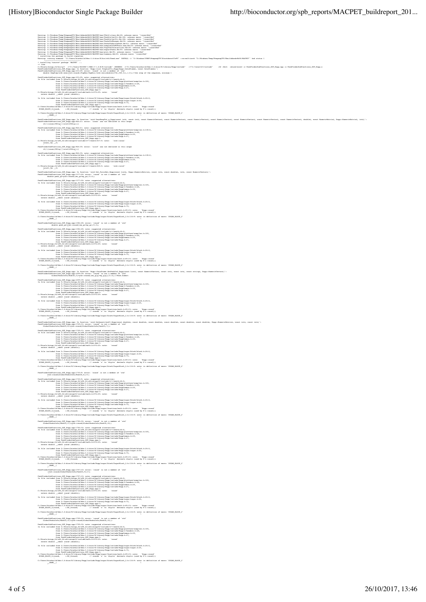Warning: C:/Windows/Temp/RtmpawqVTY/Rbuilddacdc8b58/MACPET/man/PSelf-class.Rd:28: unknown macro '\insertRef' Warning: C:/Windows/Temp/RtmpawqVTY/Rbuilddacdc8b58/MACPET/man/PeakCallerUlt.Rd:182: unknown macro '\insertRef' Warning: C:/Windows/Temp/RtmpawqVTY/Rbuilddacdc8b58/MACPET/man/PeakCallerUlt.Rd:184: unknown macro '\insertRef' Warning: C:/Windows/Temp/RtmpawqVTY/RbuilddacdcBb58/NACPET/man/PeaksToGRanges.Rd:52: unknown macro '\insertRef<br>Warning: C:/Windows/Temp/RtmpawqVTY/RbuilddacdcBb58/NACPET/man/PeaksToNarrowPeak.Rd:61: unknown macro '\insertR Narning: C:/Nindoww/Temp/RtmpavqTVY/Roxiiddacde1b3/NACFEY/man/YagNToCInteractions.Rdi+6: unknown maero '\insertRef<br>Narning: C:/Nindoww/Temp/RtmpavqVTV/Roxiiddacde1b58/NACFEY/man/exportPeaks.Rdi55: unknown macro '\insertBef :/Windows/Temp/RtmpawqVTY/R<br>mg the package to build vig<br>umming command '"C:/Users/b Warning: running command '"C:/Users/biocbuild/bbs-3.6-bioc/R/bin/x64/Rcmd.exe" INSTALL -l "C:\Windows\TEMP\RtmpawqVTY\Rinstdaccc57e95" --no-multiarch "C:/Windows/Temp/RtmpawqVTY/Rbuilddacdc8b58/MACPET"' had status 1 \* installing \*source\* package 'MACPET' ... \*\* libs c/Roshining.41/histyn="1"Cyllweb"-1"Dickin="2"Cyllocher"-201007-2"Cyllocher"-1"Cyllocher"-1"Cyllocher"-2"Cyllocher"-2"Cyllocher"-2"Cyllochers"-2"Cyllochers"-2"Cyllochers"-2"Cyllochers"-2"Cyllochers"-2"Cyllochers"-2"Cylloch densite forgetteperkinnals (at internal (at the separator of the separator of the separator of the separator of the separator of the separator of the separator of the separator of the separator of the separator of the sep C:/Users/biocbuild/bbs-3.6-bioc/R/library/Rcpp/include/Rcpp/sugar/functions/math.h:69:15: note: 'Rcpp::round'<br>SUGAR\_BLOCK\_2(round, \_\_\_\_:Rf\_fround) // rounds 'x' to 'digits' decimals digits (used by R's round()) C:/Users/biocbuild/bbs-3.6-bioc/R/library/Rcpp/include/Rcpp/sugar/block/SugarBlock\_2.h:116:9: note: in definition of macro 'SUGAR\_BLOCK\_2'  $\blacksquare$  . The contract of the contract of the contract of the contract of the contract of the contract of the contract of the contract of the contract of the contract of the contract of the contract of the contract of the PeakFinderSubFunctions\_SGT\_Rcpp.cpp: In function 'void DensRespTot\_g\_Rcpp(const int&, const int&, const NumericVector&, const NumericVector&, const NumericVector&, const NumericVector&, const NumericVector&, const NumericVector&, const NumericVector&, double&, const NumericMatrix&, Rcpp::NumericMatrix&, int&)': PeakFinderSubFunctions\_SGT\_Rcpp.cpp:946:21: error: 'isnan' was not declared in this scope  $\label{eq:main} \begin{minipage}[t]{0.9\textwidth} \begin{minipage}[t]{0.9\textwidth} \begin{minipage}[t]{0.9\textwidth} \begin{minipage}[t]{0.9\textwidth} \begin{minipage}[t]{0.9\textwidth} \begin{minipage}[t]{0.9\textwidth} \begin{minipage}[t]{0.9\textwidth} \begin{minipage}[t]{0.9\textwidth} \begin{minipage}[t]{0.9\textwidth} \begin{minipage}[t]{0.9\textwidth} \begin{minipage}[t]{0.9\textwidth} \begin{minipage}[t]{0.9\textwidth} \begin{minipage}[t]{0.9\textwidth} \begin{minip$ PeakFinderSubFunctions\_SGT\_Rcpp.cpp:946:35: error: 'isinf' was not declared in this scope if(!(isnan(fUDig)||isinf(fUDig))){ PaskFinderMortischen (1685, Repp. enter 1887), anders megentend alternatives (1687), enter 1888 (1687), anders<br>2011 – Ein der der Schwarz Kolonischen (1688–1688), anders megenten alternatives (1688–1688), anders Kolonisch<br> from PeakFinderSubFunctions\_SGT\_Rcpp.cpp:1: C:/Rtools/mingw\_64/x86\_64-w64-mingw32/include/c++/cmath:828:5: note: 'std::isinf' isinf(\_Tp \_\_f) PeakFinderSubJunctions\_SGT\_Ropp.cpp:In function 'void Get\_PairsMat\_Roppe|comet\_IstsLaternericMatrix&, const doubles, int&, const WumericVector&)':<br>PeakFinderSubJunctions SGT Ropp.cpp:1377:24: error: 'round' is not a member density paint is enough and the second term of the second state of the second state of the second state of the second state of the second state of the second state of the second state of the second state of the second sta extern demble \_edesl conditionalistics = -1-bios/2/library/depp/include/heyp/magn/hiosh.hiosh.hiosh.hi<br>In tile included from Ci/Desca/Aboutilidated -1-bios/2/library/depp/include/heyp/magn/hiosh.hiosh.hiosh.p<br>Ci/Desca/Abou \_\_NAME\_\_( \ PeakFinderSubFunctions\_SGT\_Rcpp.cpp:1384:28: error: 'round' is not a member of 'std' double peak\_gc=std::round((mx\_gc+my\_gc)/2.0); PaakTinderSchPhunslines SCP\_Penp.com/184311.noise.sexperied\_aliantational\_independent.<br>2. Et is included from C:/Ricola/Aming-Ki/AH2 (4-vef-mingol/ilentation-regeleption-line)<br>From C:/Ricola/Aming-Ki/AH2 -1.6-bioc/A/liber from C:/Userz/biocbuild/bba-1.6-bioc/%library/Ropp/include/Ropp.h:27,<br>from PeakFinderSubFunctions\_SGT\_Ropp.cpp:1:<br>C:/Rtools/ning-d4X-4-v48-mingv2Z/include/math.h:874:25: note: 'round'<br>extern double cdecl round (double); In file included from C://base/ideoball/blas-1.6-blood.hlumpy/Reginstration/Regulates/Promper/ideobal.hlumb.com<br>
from C://base/ideoball/blas-1.6-blood.hlumpy/Reginstration/Reginstration/Reginstration/Reginstration/<br>C://bas \_\_NAME\_\_( \ PeakFinderSubFunctions\_SGT\_Rcpp.cpp: In function 'Rcpp::DataFrame GetPeakInf\_Rcpp(const List&, const NumericVector&, const int&, const int&, const string&, Rcpp::NumericVector&)': PeakFinderSubFunctions\_SGT\_Rcpp.cpp:1659:39: error: 'round' is not a member of 'std' GlobalPeaksInfo(PeakID,3)=std::round((mx\_g[g]+my\_g[g])/2.0);//Peak.Summit .<br>PeakFinderSubFunctions\_SGT\_Rcpp.cpp:1659:39: note: suggested alternatives:<br>In file included from C:/Rtools/mingw\_64/x86\_64-w64-mingw32/include/c++/cmath:44:0,  $\label{eq:2} \begin{minipage}[t]{0.9\textwidth}\begin{minipage}[t]{0.9\textwidth}\begin{minipage}[t]{0.9\textwidth}\begin{minipage}[t]{0.9\textwidth}\begin{minipage}[t]{0.9\textwidth}\begin{minipage}[t]{0.9\textwidth}\begin{minipage}[t]{0.9\textwidth}\begin{minipage}[t]{0.9\textwidth}\begin{minipage}[t]{0.9\textwidth}\begin{minipage}[t]{0.9\textwidth}\begin{minipage}[t]{0.9\textwidth}\begin{minipage}[t]{0.9\textwidth}\begin{minipage}[t]{0.9\textwidth}\begin{minipage}[t]{0.9\textwidth}\begin{$ C:/Users/hiocbaild/hbs-3.4-bioc/R/ilmrary/Repp/include/Repyingsur/Emerions/math.ht0?i31 notes 'Repp:rround'<br>SUGRR\_RLOCK\_2[round, - :Rf\_fround) // rounds 'x' to 'digits' decimals digits (used by F's round())<br>C:/Users/biocbu \_\_NAME\_\_( \ Peaklinderäubluncions 507 Repp.opp: In function 'void GetQuantileatl Repploant doubles, com t dubles, com dubles, com dubles, com t doubles, com t doubles, Repp::NumericMatrixs, comt ints, comt ints, comt ints, comt ints,  $\label{thm:main} The data is the same as follows that the first (the last is) (with the last is the first (with the last is) (with the last is) (with the last is) (with the last is) (with the last is) (with the last is) (with the last is) (with the last is) (with the last is) (with the last is) (with the last is) (with the last is) (with the last is) (with the last is) (with the last is) (with the last is) (with the last is) (with the last is) (with the last is) (with the last is) (with the last is) (with the last is) (with the last is) (with the last is) (with the last is) (with the last is) (with the last is) (with the last is) (with the last is) (with the last is) (with the last is) (with the last$ In file included from Cu/Deerwikindinal-Independent (International Deep Opgare Discolutions, h.126:3,<br>The Common Common Common Common Common Common Common Common Common Common Common Common Common Common Common<br>Current Dis ^ C:/Users/biocbuild/bbs-3.6-bioc/R/library/Rcpp/include/Rcpp/sugar/block/SugarBlock\_2.h:116:9: note: in definition of macro 'SUGAR\_BLOCK\_2' \_\_NAME\_\_( \ PeakFinderSubFunctions\_SGT\_Rcpp.cpp:1730:9: error: 'round' is not a member of 'std' std::round(GlobalPeaksInfo(PeakID,6))+1; Peakinderschuurtions\_EGCP\_coppil30531.notels.com<br>In file included from Ci/Ricola/Mainge 4/Jafa (4-av64-minged2/include/c++/cmathi44i0,<br>from Ci/Rieray/iorchulonshallabbe-3.4-bioco/Rillbaray/Reppliers.hil00,<br>from Ci/Rieray/i from C:/Daera/biocbuild/bbe-3.6-biocraphinelay/Repp/include/Repp.h:27,<br>from PaakFinderSubFunctions\_SGT\_Repp.cpp:1:<br>C:/Rtools/minge\_64/xBE\_64-e44-minged3Z/include/math.h:B74:25: note: 'round'<br>extern double\_\_cdecl\_round (dou In file included from C:/Users/biocbuild/bbs-3.6-bioc/R/library/Rcpp/include/Rcpp/sugar/block/block.h:26:0, from C:/Users/biocbuild/bbs-3.6-bioc/R/library/Rcpp/include/Rcpp/sugar/sugar.h:26, from C:/Daera/biocbuid/bbe-3.6-biocp/kilbrary/Ropp/include/Ropp.hi?2,<br>from PeakFinderSubFunctions.g507\_Ropp.cppii:<br>C:/Umers/biocbuild/bbe-3.4-bioc/R/library/Ropp/include/Ropp/mpar/functions/math.ht01313:note: 'Ropp::round' ^ C:/Users/biocbuild/bbs-3.6-bioc/R/library/Rcpp/include/Rcpp/sugar/block/SugarBlock\_2.h:116:9: note: in definition of macro 'SUGAR\_BLOCK\_2' \_\_NAME\_\_( \ PeakFinderSubFunctions\_SGT\_Rcpp.cpp:1756:32: error: 'round' is not a member of 'std' GlobalPeaksInfo(PeakID,11)=std::round(GlobalPeaksInfo(PeakID,10)) FeakTinderEubNuccions\_EGT\_Repp.cpp:1756;12: nota: supported alternatives:<br>
The included from EC/Ricolatelage 47.051.2 include 10.22/include/evidents/hating.<br>
from EC/Ricolatelage 47.051.2 included include the state of the C:/Rtools/mingw\_from PeakFinderSubFunctions\_SGT\_Rcpp.cpp:1:<br>C:/Rtools/mingw\_64/x86\_64-w64-mingw32/include/math.h:874:25: note: 'round'<br>extern double \_ cdecl round (double); ^ In file included from C:/Users/biocbuild/bbs-3.6-bioc/R/library/Rcpp/include/Rcpp/sugar/block/block.h:26:0, from C://beer/komball/dde=J.4-bien/2/likenty/Repyleriode/Repylery<br>C://beer/komball/dde=J.6-bien/2/likenty/Repyleriode/Repyler/21.7.<br>C://beer/komball/dde=J.4-bien/R/likery/Repyleriode/Repyler/Schutzkin/Repyler/2<br>SOGM\_HIGC\_1 PeakFinderSubFunctions\_SGT\_Rcpp.cpp:1757:10: error: 'round' is not a member of 'std'<br>-std::round(GlobalPeaksInfo(PeakID,9))+1; **Photo-School Control (1997)**<br>  $\frac{1}{2}$  (The Lindschee Control Control (1997)<br>  $\frac{1}{2}$  (The Lindschee Control Control (1998)<br>  $\frac{1}{2}$  (The Control Control Control Control Control (1997)<br>  $\frac{1}{2}$  (The Control Contro ir ary/Rcpp/include/Rcpp/sugar/block/block.h:<br>ir ary/Rcpp/include/Rcpp/sugar/sugar.h:26;<br>ir ary/Rcpp/include/Rcpp.h:72; from C:/Deers/biocholid/2be-3.6-bioc/2/library/Expp/include/Expp/austrage.ht26,<br>from C:/Deers/biocholid/2be-3.6-bioc/2/library/Expp/include/Repp.ht73,<br>C:/Ueers/biocholid/2be-4.6-bioc/2/library/Expp/include/Repp.ht73,<br>SUGRE C:/Users/biocbuild/bbs-3.6-bioc/R/library/Rcpp/include/Rcpp/sugar/block/SugarBlock\_2.h:116:9: note: in definition of macro 'SUGAR\_BLOCK\_2'  $\blacksquare$  . The contract of the contract of the contract of the contract of the contract of the contract of the contract of the contract of the contract of the contract of the contract of the contract of the contract of the PeakFinderSubFunctions\_SGT\_Rcpp.cpp:1759:32: error: 'round' is not a member of 'std' GlobalPeaksInfo(PeakID,12)=std::round(GlobalPeaksInfo(PeakID,10))- Tendities<br>technological (m. 2017)<br> 2007 - State Angeletin Alternatives (i.e., i.e., i.e., i.e., i.e., i.e., i.e., i.e., i.e., i.e., i.e., i.e., i.e., i.e., i.e., i.e., i.e., i.e., i.e., i.e., i.e., i.e., i.e., i.e., i.e., In file included from C./Deser/kickbishid/bes-1.4-bioc/2/likesry/Repp/leclude/Repp/euger/block/block.h:26:3,<br>- C./Deservices.com (C./Deserv/kickbishid/bbs-1-2-bioc/2/likesry/Repp/leclude/Repp/euger/neps/.nrgk.h:26,<br>- C./De -<br>C:/Users/biocbuild/bbs-3.6-bioc/R/library/Rcpp/include/Rcpp/sugar/block/SugarBlock\_2.h:116:9: note: in definition of macro 'SUGAR\_BLOCK\_2'<br>|-